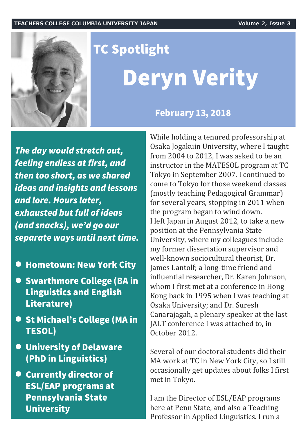

# **TC Spotlight Deryn Verity**

**February 13, 2018** 

The day would stretch out, feeling endless at first, and then too short, as we shared ideas and insights and lessons and lore. Hours later, exhausted but full of ideas (and snacks), we'd go our separate ways until next time.

- **Hometown: New York City**
- Swarthmore College (BA in **Linguistics and English** Literature)
- St Michael's College (MA in **TESOL)**
- **O** University of Delaware (PhD in Linguistics)
- **Currently director of ESL/EAP programs at Pennsylvania State University**

While holding a tenured professorship at Osaka Jogakuin University, where I taught from 2004 to 2012, I was asked to be an instructor in the MATESOL program at TC Tokyo in September 2007. I continued to come to Tokyo for those weekend classes (mostly teaching Pedagogical Grammar) for several years, stopping in 2011 when the program began to wind down. I left Japan in August 2012, to take a new position at the Pennsylvania State University, where my colleagues include my former dissertation supervisor and well-known sociocultural theorist, Dr. James Lantolf; a long-time friend and influential researcher, Dr. Karen Johnson, whom I first met at a conference in Hong Kong back in 1995 when I was teaching at Osaka University; and Dr. Suresh Canarajagah, a plenary speaker at the last JALT conference I was attached to, in October 2012.

Several of our doctoral students did their MA work at TC in New York City, so I still occasionally get updates about folks I first met in Tokyo.

I am the Director of ESL/EAP programs here at Penn State, and also a Teaching Professor in Applied Linguistics. I run a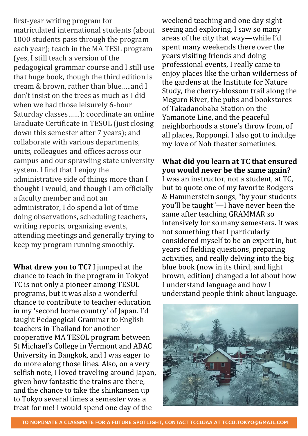first-year writing program for matriculated international students (about 1000 students pass through the program each year); teach in the MA TESL program (yes, I still teach a version of the pedagogical grammar course and I still use that huge book, though the third edition is cream & brown, rather than blue…..and I don't insist on the trees as much as I did when we had those leisurely 6-hour Saturday classes……); coordinate an online Graduate Certificate in TESOL (just closing down this semester after 7 years); and collaborate with various departments, units, colleagues and offices across our campus and our sprawling state university system. I find that I enjoy the administrative side of things more than I thought I would, and though I am officially a faculty member and not an administrator, I do spend a lot of time doing observations, scheduling teachers, writing reports, organizing events, attending meetings and generally trying to keep my program running smoothly.

**What drew you to TC?** I jumped at the chance to teach in the program in Tokyo! TC is not only a pioneer among TESOL programs, but it was also a wonderful chance to contribute to teacher education in my 'second home country' of Japan. I'd taught Pedagogical Grammar to English teachers in Thailand for another cooperative MA TESOL program between St Michael's College in Vermont and ABAC University in Bangkok, and I was eager to do more along those lines. Also, on a very selfish note, I loved traveling around Japan, given how fantastic the trains are there, and the chance to take the shinkansen up to Tokyo several times a semester was a treat for me! I would spend one day of the

weekend teaching and one day sightseeing and exploring. I saw so many areas of the city that way—while I'd spent many weekends there over the years visiting friends and doing professional events, I really came to enjoy places like the urban wilderness of the gardens at the Institute for Nature Study, the cherry-blossom trail along the Meguro River, the pubs and bookstores of Takadanobaba Station on the Yamanote Line, and the peaceful neighborhoods a stone's throw from, of all places, Roppongi. I also got to indulge my love of Noh theater sometimes.

### **What did you learn at TC that ensured you would never be the same again?**

I was an instructor, not a student, at TC, but to quote one of my favorite Rodgers & Hammerstein songs, "by your students you'll be taught"—I have never been the same after teaching GRAMMAR so intensively for so many semesters. It was not something that I particularly considered myself to be an expert in, but years of fielding questions, preparing activities, and really delving into the big blue book (now in its third, and light brown, edition) changed a lot about how I understand language and how I understand people think about language.

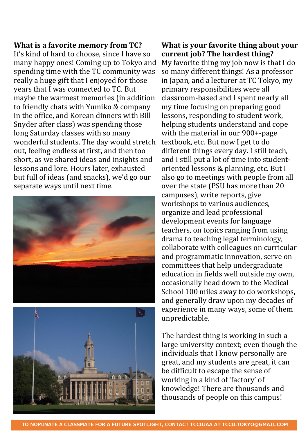#### **What is a favorite memory from TC?**

It's kind of hard to choose, since I have so many happy ones! Coming up to Tokyo and spending time with the TC community was really a huge gift that I enjoyed for those years that I was connected to TC. But maybe the warmest memories (in addition to friendly chats with Yumiko & company in the office, and Korean dinners with Bill Snyder after class) was spending those long Saturday classes with so many wonderful students. The day would stretch out, feeling endless at first, and then too short, as we shared ideas and insights and lessons and lore. Hours later, exhausted but full of ideas (and snacks), we'd go our separate ways until next time.





#### **What is your favorite thing about your current job? The hardest thing?** My favorite thing my job now is that I do so many different things! As a professor in Japan, and a lecturer at TC Tokyo, my primary responsibilities were all classroom-based and I spent nearly all my time focusing on preparing good lessons, responding to student work, helping students understand and cope with the material in our 900+-page textbook, etc. But now I get to do different things every day. I still teach, and I still put a lot of time into studentoriented lessons & planning, etc. But I also go to meetings with people from all over the state (PSU has more than 20 campuses), write reports, give workshops to various audiences, organize and lead professional development events for language teachers, on topics ranging from using drama to teaching legal terminology, collaborate with colleagues on curricular and programmatic innovation, serve on committees that help undergraduate education in fields well outside my own, occasionally head down to the Medical School 100 miles away to do workshops, and generally draw upon my decades of experience in many ways, some of them unpredictable.

The hardest thing is working in such a large university context; even though the individuals that I know personally are great, and my students are great, it can be difficult to escape the sense of working in a kind of 'factory' of knowledge! There are thousands and thousands of people on this campus!